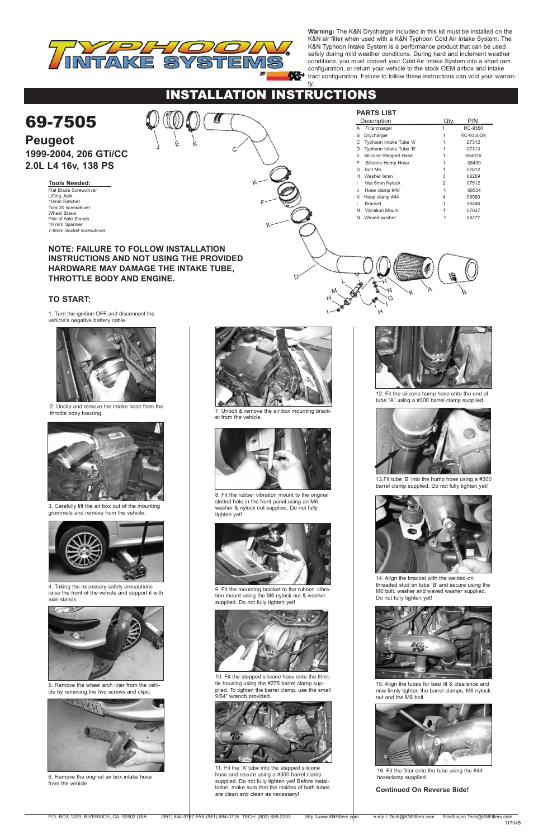I

H

# INSTALLATION INSTRUCTIONS

1. Turn the ignition OFF and disconnect the

vehicle's negative battery cable.



2. Unclip and remove the intake hose from the throttle body housing.



4. Taking the necessary safety precautions raise the front of the vehicle and support it with axle stands.







6. Remove the original air box intake hose from the vehicle.





9. Fit the mounting bracket to the rubber vibration mount using the M6 nylock nut & washer supplied. Do not fully tighten yet!





11. Fit the 'A' tube into the stepped silicone hose and secure using a #300 barrel clamp supplied. Do not fully tighten yet! Before installation, make sure that the insides of both tubes are clean and clean as necessary!



7. Unbolt & remove the air box mounting bracket from the vehicle.



8. Fit the rubber vibration mount to the original slotted hole in the front panel using an M6 washer & nylock nut supplied. Do not fully tighten yet!

15. Align the tubes for best fit & clearance and now firmly tighten the barrel clamps, M6 nylock nut and the M6 bolt.



13.Fit tube 'B' into the hump hose using a #300 barrel clamp supplied. Do not fully tighten yet!



14. Align the bracket with the welded-on threaded stud on tube 'B' and secure using the M6 bolt, washer and waved washer supplied. Do not fully tighten yet!





3. Carefully lift the air box out of the mounting grommets and remove from the vehicle.

|                                                | <b>PARTS LIST</b>            |                |                  |
|------------------------------------------------|------------------------------|----------------|------------------|
| 69-7505                                        | Description                  | Qty.           | P/N              |
|                                                | A Filtercharger              |                | RC-9350          |
|                                                | В<br>Drycharger              |                | <b>RC-9350DK</b> |
| <b>Peugeot</b><br>Ε                            | Typhoon Intake Tube 'A'      |                | 27312            |
|                                                | Typhoon Intake Tube 'B'<br>D |                | 27313            |
| 1999-2004, 206 GTi/CC                          | E<br>Silicone Stepped Hose   |                | 084016           |
| 2.0L L4 16v, 138 PS                            | Silicone Hump Hose<br>F      |                | 08439            |
|                                                | G<br>Bolt M6                 |                | 07812            |
|                                                | H Washer 6mm                 | 3              | 08269            |
| <b>Tools Needed:</b>                           | Nut 6mm Nylock               | $\overline{2}$ | 07512            |
| Flat Blade Screwdriver                         | Hose clamp #40               |                | 08554            |
| Lifting Jack<br>10mm Ratchet                   | K Hose clamp #44             |                | 08560            |
| Torx 20 screwdriver                            | <b>Bracket</b>               |                | 06466            |
| <b>Wheel Brace</b>                             | <b>Vibration Mount</b><br>M  |                | 07027            |
| Pair of Axle Stands                            | N Waved washer               |                | 08277            |
| 10 mm Spanner                                  |                              |                |                  |
| 7-8mm Socket screwdriver                       |                              |                |                  |
|                                                |                              |                |                  |
| <b>NOTE: FAILURE TO FOLLOW INSTALLATION</b>    |                              |                |                  |
|                                                |                              |                |                  |
| <b>INSTRUCTIONS AND NOT USING THE PROVIDED</b> |                              |                |                  |
| HARDWARE MAY DAMAGE THE INTAKE TUBE,           |                              |                |                  |
|                                                |                              |                |                  |
| <b>THROTTLE BODY AND ENGINE.</b>               |                              |                |                  |
|                                                |                              |                |                  |
|                                                |                              |                | B                |
| <b>TO START:</b>                               |                              |                |                  |
|                                                |                              |                |                  |

10. Fit the stepped silicone hose onto the throttle housing using the #275 barrel clamp supplied. To tighten the barrel clamp, use the small 9/64" wrench provided.

5. Remove the wheel arch liner from the vehicle by removing the two screws and clips.



12. Fit the silicone hump hose onto the end of tube "A" using a #300 barrel clamp supplied.



16. Fit the filter onto the tube using the #44 hoseclamp supplied.



**Warning:** The K&N Drycharger included in this kit must be installed on the K&N air filter when used with a K&N Typhoon Cold Air Intake System. The K&N Typhoon Intake System is a performance product that can be used safely during mild weather conditions. During hard and inclement weather conditions, you must convert your Cold Air Intake System into a short ram configuration, or return your vehicle to the stock OEM airbox and intake tract configuration. Failure to follow these instructions can void your warran-

ty.

## **Continued On Reverse Side!**